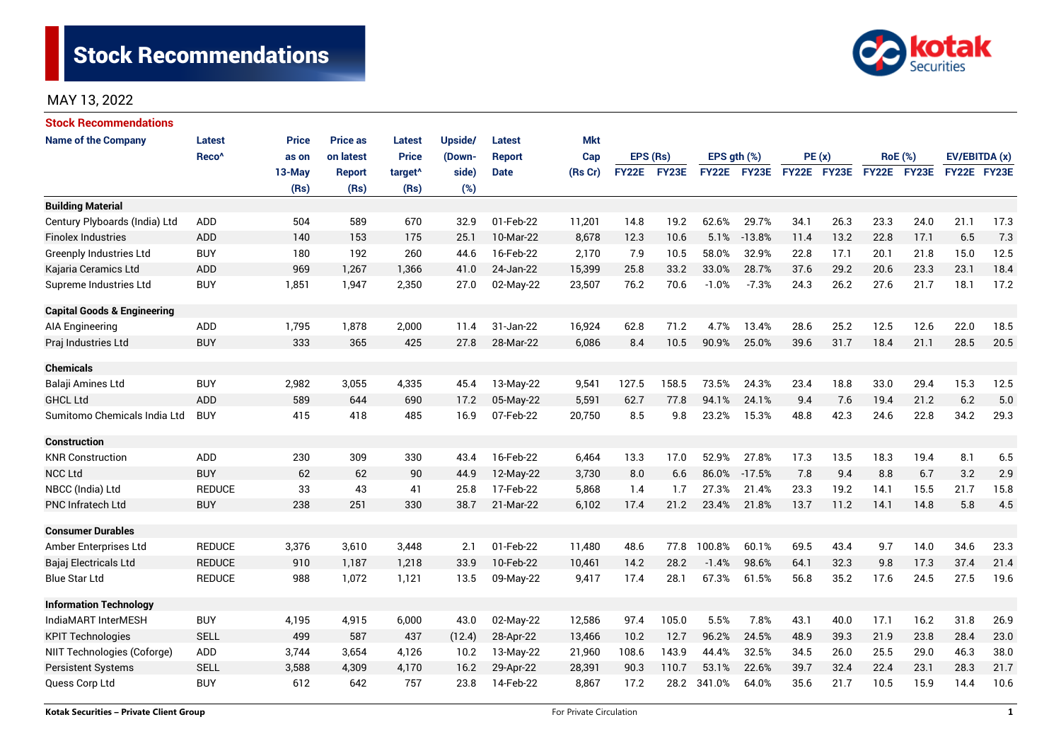

# MAY 13, 2022

| <b>Stock Recommendations</b>           |                   |              |                 |                     |         |               |            |              |       |                  |          |             |      |                |             |               |      |
|----------------------------------------|-------------------|--------------|-----------------|---------------------|---------|---------------|------------|--------------|-------|------------------|----------|-------------|------|----------------|-------------|---------------|------|
| <b>Name of the Company</b>             | <b>Latest</b>     | <b>Price</b> | <b>Price as</b> | Latest              | Upside/ | Latest        | <b>Mkt</b> |              |       |                  |          |             |      |                |             |               |      |
|                                        | Reco <sup>^</sup> | as on        | on latest       | <b>Price</b>        | (Down-  | <b>Report</b> | Cap        | EPS (Rs)     |       | EPS $qth$ $(\%)$ |          | PE(x)       |      | <b>RoE</b> (%) |             | EV/EBITDA (x) |      |
|                                        |                   | $13-May$     | Report          | target <sup>^</sup> | side)   | <b>Date</b>   | (Rs Cr)    | <b>FY22E</b> | FY23E | <b>FY22E</b>     | FY23E    | FY22E FY23E |      |                | FY22E FY23E | FY22E FY23E   |      |
|                                        |                   | (Rs)         | (Rs)            | (Rs)                | (%)     |               |            |              |       |                  |          |             |      |                |             |               |      |
| <b>Building Material</b>               |                   |              |                 |                     |         |               |            |              |       |                  |          |             |      |                |             |               |      |
| Century Plyboards (India) Ltd          | <b>ADD</b>        | 504          | 589             | 670                 | 32.9    | 01-Feb-22     | 11,201     | 14.8         | 19.2  | 62.6%            | 29.7%    | 34.1        | 26.3 | 23.3           | 24.0        | 21.1          | 17.3 |
| <b>Finolex Industries</b>              | ADD               | 140          | 153             | 175                 | 25.1    | 10-Mar-22     | 8,678      | 12.3         | 10.6  | 5.1%             | $-13.8%$ | 11.4        | 13.2 | 22.8           | 17.1        | 6.5           | 7.3  |
| <b>Greenply Industries Ltd</b>         | <b>BUY</b>        | 180          | 192             | 260                 | 44.6    | 16-Feb-22     | 2,170      | 7.9          | 10.5  | 58.0%            | 32.9%    | 22.8        | 17.1 | 20.1           | 21.8        | 15.0          | 12.5 |
| Kajaria Ceramics Ltd                   | ADD               | 969          | 1,267           | 1,366               | 41.0    | 24-Jan-22     | 15,399     | 25.8         | 33.2  | 33.0%            | 28.7%    | 37.6        | 29.2 | 20.6           | 23.3        | 23.1          | 18.4 |
| Supreme Industries Ltd                 | <b>BUY</b>        | 1,851        | 1,947           | 2,350               | 27.0    | 02-May-22     | 23,507     | 76.2         | 70.6  | $-1.0%$          | $-7.3%$  | 24.3        | 26.2 | 27.6           | 21.7        | 18.1          | 17.2 |
| <b>Capital Goods &amp; Engineering</b> |                   |              |                 |                     |         |               |            |              |       |                  |          |             |      |                |             |               |      |
| AIA Engineering                        | ADD               | 1,795        | 1,878           | 2,000               | 11.4    | 31-Jan-22     | 16,924     | 62.8         | 71.2  | 4.7%             | 13.4%    | 28.6        | 25.2 | 12.5           | 12.6        | 22.0          | 18.5 |
| Praj Industries Ltd                    | <b>BUY</b>        | 333          | 365             | 425                 | 27.8    | 28-Mar-22     | 6,086      | 8.4          | 10.5  | 90.9%            | 25.0%    | 39.6        | 31.7 | 18.4           | 21.1        | 28.5          | 20.5 |
| <b>Chemicals</b>                       |                   |              |                 |                     |         |               |            |              |       |                  |          |             |      |                |             |               |      |
| Balaji Amines Ltd                      | <b>BUY</b>        | 2,982        | 3,055           | 4,335               | 45.4    | 13-May-22     | 9,541      | 127.5        | 158.5 | 73.5%            | 24.3%    | 23.4        | 18.8 | 33.0           | 29.4        | 15.3          | 12.5 |
| <b>GHCL Ltd</b>                        | <b>ADD</b>        | 589          | 644             | 690                 | 17.2    | 05-May-22     | 5,591      | 62.7         | 77.8  | 94.1%            | 24.1%    | 9.4         | 7.6  | 19.4           | 21.2        | 6.2           | 5.0  |
| Sumitomo Chemicals India Ltd           | <b>BUY</b>        | 415          | 418             | 485                 | 16.9    | 07-Feb-22     | 20,750     | 8.5          | 9.8   | 23.2%            | 15.3%    | 48.8        | 42.3 | 24.6           | 22.8        | 34.2          | 29.3 |
| <b>Construction</b>                    |                   |              |                 |                     |         |               |            |              |       |                  |          |             |      |                |             |               |      |
| <b>KNR Construction</b>                | ADD               | 230          | 309             | 330                 | 43.4    | 16-Feb-22     | 6,464      | 13.3         | 17.0  | 52.9%            | 27.8%    | 17.3        | 13.5 | 18.3           | 19.4        | 8.1           | 6.5  |
| <b>NCC Ltd</b>                         | <b>BUY</b>        | 62           | 62              | 90                  | 44.9    | 12-May-22     | 3,730      | 8.0          | 6.6   | 86.0%            | $-17.5%$ | 7.8         | 9.4  | 8.8            | 6.7         | 3.2           | 2.9  |
| NBCC (India) Ltd                       | <b>REDUCE</b>     | 33           | 43              | 41                  | 25.8    | 17-Feb-22     | 5,868      | 1.4          | 1.7   | 27.3%            | 21.4%    | 23.3        | 19.2 | 14.1           | 15.5        | 21.7          | 15.8 |
| <b>PNC Infratech Ltd</b>               | <b>BUY</b>        | 238          | 251             | 330                 | 38.7    | 21-Mar-22     | 6,102      | 17.4         | 21.2  | 23.4%            | 21.8%    | 13.7        | 11.2 | 14.1           | 14.8        | 5.8           | 4.5  |
| <b>Consumer Durables</b>               |                   |              |                 |                     |         |               |            |              |       |                  |          |             |      |                |             |               |      |
| Amber Enterprises Ltd                  | <b>REDUCE</b>     | 3,376        | 3,610           | 3,448               | 2.1     | 01-Feb-22     | 11,480     | 48.6         | 77.8  | 100.8%           | 60.1%    | 69.5        | 43.4 | 9.7            | 14.0        | 34.6          | 23.3 |
| Bajaj Electricals Ltd                  | <b>REDUCE</b>     | 910          | 1,187           | 1,218               | 33.9    | 10-Feb-22     | 10,461     | 14.2         | 28.2  | $-1.4%$          | 98.6%    | 64.1        | 32.3 | 9.8            | 17.3        | 37.4          | 21.4 |
| <b>Blue Star Ltd</b>                   | <b>REDUCE</b>     | 988          | 1,072           | 1,121               | 13.5    | 09-May-22     | 9,417      | 17.4         | 28.1  | 67.3%            | 61.5%    | 56.8        | 35.2 | 17.6           | 24.5        | 27.5          | 19.6 |
| <b>Information Technology</b>          |                   |              |                 |                     |         |               |            |              |       |                  |          |             |      |                |             |               |      |
| IndiaMART InterMESH                    | <b>BUY</b>        | 4,195        | 4,915           | 6,000               | 43.0    | 02-May-22     | 12,586     | 97.4         | 105.0 | 5.5%             | 7.8%     | 43.1        | 40.0 | 17.1           | 16.2        | 31.8          | 26.9 |
| <b>KPIT Technologies</b>               | <b>SELL</b>       | 499          | 587             | 437                 | (12.4)  | 28-Apr-22     | 13,466     | 10.2         | 12.7  | 96.2%            | 24.5%    | 48.9        | 39.3 | 21.9           | 23.8        | 28.4          | 23.0 |
| NIIT Technologies (Coforge)            | ADD               | 3,744        | 3,654           | 4,126               | 10.2    | 13-May-22     | 21,960     | 108.6        | 143.9 | 44.4%            | 32.5%    | 34.5        | 26.0 | 25.5           | 29.0        | 46.3          | 38.0 |
| <b>Persistent Systems</b>              | <b>SELL</b>       | 3,588        | 4,309           | 4,170               | 16.2    | 29-Apr-22     | 28,391     | 90.3         | 110.7 | 53.1%            | 22.6%    | 39.7        | 32.4 | 22.4           | 23.1        | 28.3          | 21.7 |
| Quess Corp Ltd                         | <b>BUY</b>        | 612          | 642             | 757                 | 23.8    | 14-Feb-22     | 8,867      | 17.2         | 28.2  | 341.0%           | 64.0%    | 35.6        | 21.7 | 10.5           | 15.9        | 14.4          | 10.6 |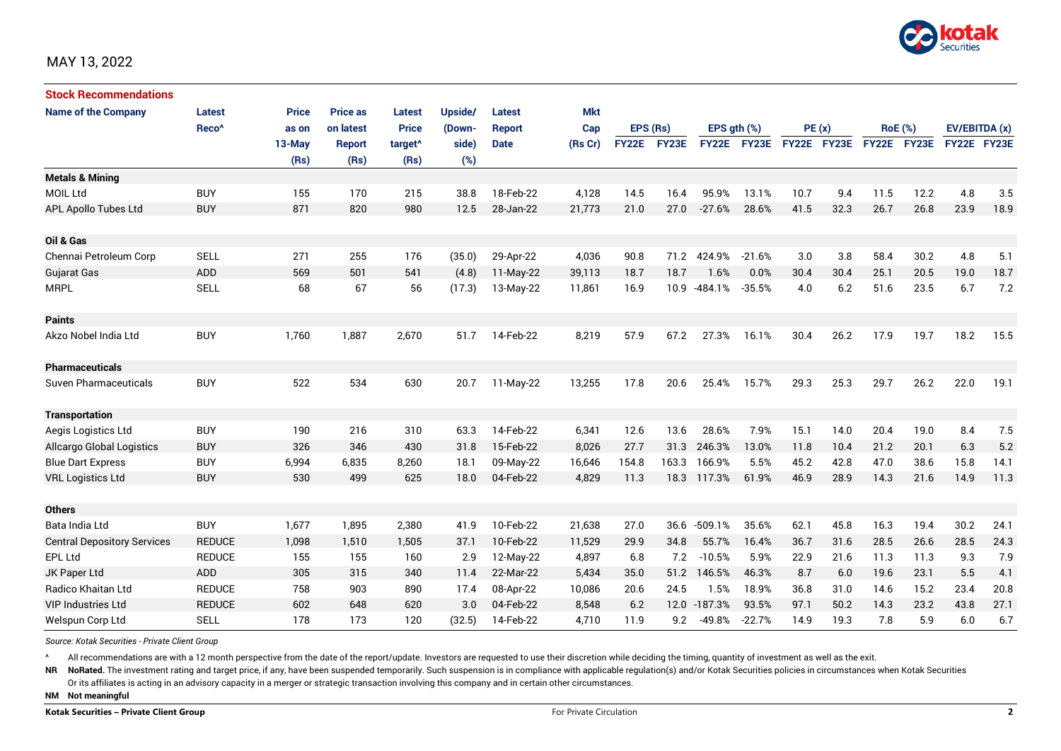

| <b>Stock Recommendations</b>       |                   |              |                 |                     |         |               |            |              |              |              |              |             |      |                |             |               |      |
|------------------------------------|-------------------|--------------|-----------------|---------------------|---------|---------------|------------|--------------|--------------|--------------|--------------|-------------|------|----------------|-------------|---------------|------|
| <b>Name of the Company</b>         | Latest            | <b>Price</b> | <b>Price as</b> | <b>Latest</b>       | Upside/ | Latest        | <b>Mkt</b> |              |              |              |              |             |      |                |             |               |      |
|                                    | Reco <sup>^</sup> | as on        | on latest       | <b>Price</b>        | (Down-  | <b>Report</b> | Cap        | EPS (Rs)     |              | EPS gth (%)  |              | PE(x)       |      | <b>RoE</b> (%) |             | EV/EBITDA (x) |      |
|                                    |                   | 13-May       | <b>Report</b>   | target <sup>^</sup> | side)   | <b>Date</b>   | (Rs Cr)    | <b>FY22E</b> | <b>FY23E</b> | <b>FY22E</b> | <b>FY23E</b> | FY22E FY23E |      |                | FY22E FY23E | FY22E FY23E   |      |
|                                    |                   | (Rs)         | (Rs)            | (Rs)                | (%)     |               |            |              |              |              |              |             |      |                |             |               |      |
| <b>Metals &amp; Mining</b>         |                   |              |                 |                     |         |               |            |              |              |              |              |             |      |                |             |               |      |
| <b>MOIL Ltd</b>                    | <b>BUY</b>        | 155          | 170             | 215                 | 38.8    | 18-Feb-22     | 4,128      | 14.5         | 16.4         | 95.9%        | 13.1%        | 10.7        | 9.4  | 11.5           | 12.2        | 4.8           | 3.5  |
| APL Apollo Tubes Ltd               | <b>BUY</b>        | 871          | 820             | 980                 | 12.5    | 28-Jan-22     | 21,773     | 21.0         | 27.0         | $-27.6%$     | 28.6%        | 41.5        | 32.3 | 26.7           | 26.8        | 23.9          | 18.9 |
|                                    |                   |              |                 |                     |         |               |            |              |              |              |              |             |      |                |             |               |      |
| Oil & Gas                          |                   |              |                 |                     |         |               |            |              |              |              |              |             |      |                |             |               |      |
| Chennai Petroleum Corp             | <b>SELL</b>       | 271          | 255             | 176                 | (35.0)  | 29-Apr-22     | 4,036      | 90.8         | 71.2         | 424.9%       | $-21.6%$     | 3.0         | 3.8  | 58.4           | 30.2        | 4.8           | 5.1  |
| Gujarat Gas                        | <b>ADD</b>        | 569          | 501             | 541                 | (4.8)   | 11-May-22     | 39,113     | 18.7         | 18.7         | 1.6%         | 0.0%         | 30.4        | 30.4 | 25.1           | 20.5        | 19.0          | 18.7 |
| <b>MRPL</b>                        | <b>SELL</b>       | 68           | 67              | 56                  | (17.3)  | 13-May-22     | 11,861     | 16.9         | 10.9         | -484.1%      | $-35.5%$     | 4.0         | 6.2  | 51.6           | 23.5        | 6.7           | 7.2  |
| <b>Paints</b>                      |                   |              |                 |                     |         |               |            |              |              |              |              |             |      |                |             |               |      |
| Akzo Nobel India Ltd               | <b>BUY</b>        | 1,760        | 1,887           | 2,670               | 51.7    | 14-Feb-22     | 8,219      | 57.9         | 67.2         | 27.3%        | 16.1%        | 30.4        | 26.2 | 17.9           | 19.7        | 18.2          | 15.5 |
| <b>Pharmaceuticals</b>             |                   |              |                 |                     |         |               |            |              |              |              |              |             |      |                |             |               |      |
| Suven Pharmaceuticals              | <b>BUY</b>        | 522          | 534             | 630                 | 20.7    | 11-May-22     | 13,255     | 17.8         | 20.6         | 25.4%        | 15.7%        | 29.3        | 25.3 | 29.7           | 26.2        | 22.0          | 19.1 |
| <b>Transportation</b>              |                   |              |                 |                     |         |               |            |              |              |              |              |             |      |                |             |               |      |
| Aegis Logistics Ltd                | <b>BUY</b>        | 190          | 216             | 310                 | 63.3    | 14-Feb-22     | 6,341      | 12.6         | 13.6         | 28.6%        | 7.9%         | 15.1        | 14.0 | 20.4           | 19.0        | 8.4           | 7.5  |
| <b>Allcargo Global Logistics</b>   | <b>BUY</b>        | 326          | 346             | 430                 | 31.8    | 15-Feb-22     | 8.026      | 27.7         | 31.3         | 246.3%       | 13.0%        | 11.8        | 10.4 | 21.2           | 20.1        | 6.3           | 5.2  |
| <b>Blue Dart Express</b>           | <b>BUY</b>        | 6,994        | 6,835           | 8,260               | 18.1    | 09-May-22     | 16,646     | 154.8        | 163.3        | 166.9%       | 5.5%         | 45.2        | 42.8 | 47.0           | 38.6        | 15.8          | 14.1 |
| <b>VRL Logistics Ltd</b>           | <b>BUY</b>        | 530          | 499             | 625                 | 18.0    | 04-Feb-22     | 4,829      | 11.3         | 18.3         | 117.3%       | 61.9%        | 46.9        | 28.9 | 14.3           | 21.6        | 14.9          | 11.3 |
|                                    |                   |              |                 |                     |         |               |            |              |              |              |              |             |      |                |             |               |      |
| <b>Others</b>                      |                   |              |                 |                     |         |               |            |              |              |              |              |             |      |                |             |               |      |
| Bata India Ltd                     | <b>BUY</b>        | 1,677        | 1,895           | 2,380               | 41.9    | 10-Feb-22     | 21,638     | 27.0         | 36.6         | $-509.1%$    | 35.6%        | 62.1        | 45.8 | 16.3           | 19.4        | 30.2          | 24.1 |
| <b>Central Depository Services</b> | <b>REDUCE</b>     | 1,098        | 1,510           | 1,505               | 37.1    | 10-Feb-22     | 11,529     | 29.9         | 34.8         | 55.7%        | 16.4%        | 36.7        | 31.6 | 28.5           | 26.6        | 28.5          | 24.3 |
| EPL Ltd                            | <b>REDUCE</b>     | 155          | 155             | 160                 | 2.9     | 12-May-22     | 4,897      | 6.8          | 7.2          | $-10.5%$     | 5.9%         | 22.9        | 21.6 | 11.3           | 11.3        | 9.3           | 7.9  |
| JK Paper Ltd                       | ADD               | 305          | 315             | 340                 | 11.4    | 22-Mar-22     | 5,434      | 35.0         | 51.2         | 146.5%       | 46.3%        | 8.7         | 6.0  | 19.6           | 23.1        | 5.5           | 4.1  |
| Radico Khaitan Ltd                 | <b>REDUCE</b>     | 758          | 903             | 890                 | 17.4    | 08-Apr-22     | 10,086     | 20.6         | 24.5         | 1.5%         | 18.9%        | 36.8        | 31.0 | 14.6           | 15.2        | 23.4          | 20.8 |
| <b>VIP Industries Ltd</b>          | <b>REDUCE</b>     | 602          | 648             | 620                 | 3.0     | 04-Feb-22     | 8,548      | 6.2          | 12.0         | $-187.3%$    | 93.5%        | 97.1        | 50.2 | 14.3           | 23.2        | 43.8          | 27.1 |
| Welspun Corp Ltd                   | <b>SELL</b>       | 178          | 173             | 120                 | (32.5)  | 14-Feb-22     | 4,710      | 11.9         | 9.2          | $-49.8%$     | $-22.7%$     | 14.9        | 19.3 | 7.8            | 5.9         | 6.0           | 6.7  |

*Source: Kotak Securities - Private Client Group*

All recommendations are with a 12 month perspective from the date of the report/update. Investors are requested to use their discretion while deciding the timing, quantity of investment as well as the exit.

NR NoRated. The investment rating and target price, if any, have been suspended temporarily. Such suspension is in compliance with applicable regulation(s) and/or Kotak Securities policies in circumstances when Kotak Secur

Or its affiliates is acting in an advisory capacity in a merger or strategic transaction involving this company and in certain other circumstances.

**NM Not meaningful**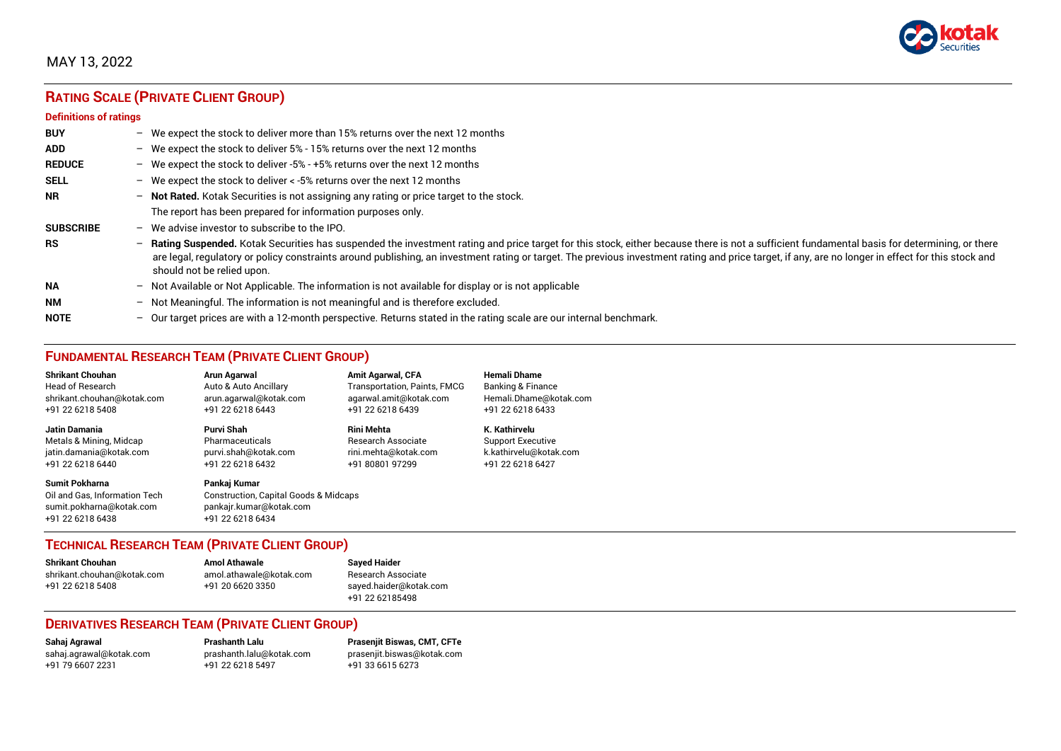

## MAY 13, 2022

# **RATING SCALE (PRIVATE CLIENT GROUP)**

#### **Definitions of ratings**

| <b>BUY</b>       | $\overline{\phantom{0}}$ | We expect the stock to deliver more than 15% returns over the next 12 months                                                                                                                                                                                                                                                                                                                                                     |
|------------------|--------------------------|----------------------------------------------------------------------------------------------------------------------------------------------------------------------------------------------------------------------------------------------------------------------------------------------------------------------------------------------------------------------------------------------------------------------------------|
| <b>ADD</b>       |                          | - We expect the stock to deliver $5\%$ - 15% returns over the next 12 months                                                                                                                                                                                                                                                                                                                                                     |
| <b>REDUCE</b>    | $-$                      | We expect the stock to deliver -5% - +5% returns over the next 12 months                                                                                                                                                                                                                                                                                                                                                         |
| <b>SELL</b>      |                          | - We expect the stock to deliver $\lt$ -5% returns over the next 12 months                                                                                                                                                                                                                                                                                                                                                       |
| <b>NR</b>        | $-$                      | Not Rated. Kotak Securities is not assigning any rating or price target to the stock.                                                                                                                                                                                                                                                                                                                                            |
|                  |                          | The report has been prepared for information purposes only.                                                                                                                                                                                                                                                                                                                                                                      |
| <b>SUBSCRIBE</b> | $\overline{\phantom{0}}$ | We advise investor to subscribe to the IPO.                                                                                                                                                                                                                                                                                                                                                                                      |
| <b>RS</b>        | $-$                      | Rating Suspended. Kotak Securities has suspended the investment rating and price target for this stock, either because there is not a sufficient fundamental basis for determining, or there<br>are legal, regulatory or policy constraints around publishing, an investment rating or target. The previous investment rating and price target, if any, are no longer in effect for this stock and<br>should not be relied upon. |
| <b>NA</b>        |                          | - Not Available or Not Applicable. The information is not available for display or is not applicable                                                                                                                                                                                                                                                                                                                             |
| <b>NM</b>        | $-$                      | Not Meaningful. The information is not meaningful and is therefore excluded.                                                                                                                                                                                                                                                                                                                                                     |
| <b>NOTE</b>      | $-$                      | Our target prices are with a 12-month perspective. Returns stated in the rating scale are our internal benchmark.                                                                                                                                                                                                                                                                                                                |

## **FUNDAMENTAL RESEARCH TEAM (PRIVATE CLIENT GROUP)**

| <b>Shrikant Chouhan</b>                                                                                | <b>Arun Agarwal</b>                                                                                             | <b>Amit Agarwal, CFA</b>            | <b>Hemali Dhame</b>      |
|--------------------------------------------------------------------------------------------------------|-----------------------------------------------------------------------------------------------------------------|-------------------------------------|--------------------------|
| <b>Head of Research</b>                                                                                | Auto & Auto Ancillary                                                                                           | <b>Transportation, Paints, FMCG</b> | Banking & Finance        |
| shrikant.chouhan@kotak.com                                                                             | arun.agarwal@kotak.com                                                                                          | agarwal.amit@kotak.com              | Hemali.Dhame@kotak.com   |
| +91 22 6218 5408                                                                                       | +91 22 6218 6443                                                                                                | +91 22 6218 6439                    | +91 22 6218 6433         |
| <b>Jatin Damania</b>                                                                                   | Purvi Shah                                                                                                      | <b>Rini Mehta</b>                   | K. Kathirvelu            |
| Metals & Mining, Midcap                                                                                | Pharmaceuticals                                                                                                 | <b>Research Associate</b>           | <b>Support Executive</b> |
| jatin.damania@kotak.com                                                                                | purvi.shah@kotak.com                                                                                            | rini.mehta@kotak.com                | k.kathirvelu@kotak.com   |
| +91 22 6218 6440                                                                                       | +91 22 6218 6432                                                                                                | +91 80801 97299                     | +91 22 6218 6427         |
| <b>Sumit Pokharna</b><br>Oil and Gas. Information Tech<br>sumit.pokharna@kotak.com<br>+91 22 6218 6438 | Pankaj Kumar<br><b>Construction, Capital Goods &amp; Midcaps</b><br>pankajr.kumar@kotak.com<br>+91 22 6218 6434 |                                     |                          |

### **TECHNICAL RESEARCH TEAM (PRIVATE CLIENT GROUP)**

| <b>Shrikant Chouhan</b>    | <b>Amol Athawale</b>    |   |
|----------------------------|-------------------------|---|
| shrikant.chouhan@kotak.com | amol.athawale@kotak.com |   |
| +91 22 6218 5408           | +91 20 6620 3350        | s |
|                            |                         |   |

**Shrikant Chouhan Amol Athawale Sayed Haider** Research Associate [sayed.haider@kotak.com](mailto:sayed.haider@kotak.com) +91 22 62185498

### **DERIVATIVES RESEARCH TEAM (PRIVATE CLIENT GROUP)**

+91 22 6218 5497 +91 33 6615 6273

**Sahaj Agrawal Prashanth Lalu Prasenjit Biswas, CMT, CFTe** [sahaj.agrawal@kotak.com](mailto:sahaj.agrawal@kotak.com) [prashanth.lalu@kotak.com](mailto:prashanth.lalu@kotak.com) [prasenjit.biswas@kotak.com](mailto:prasenjit.biswas@kotak.com)